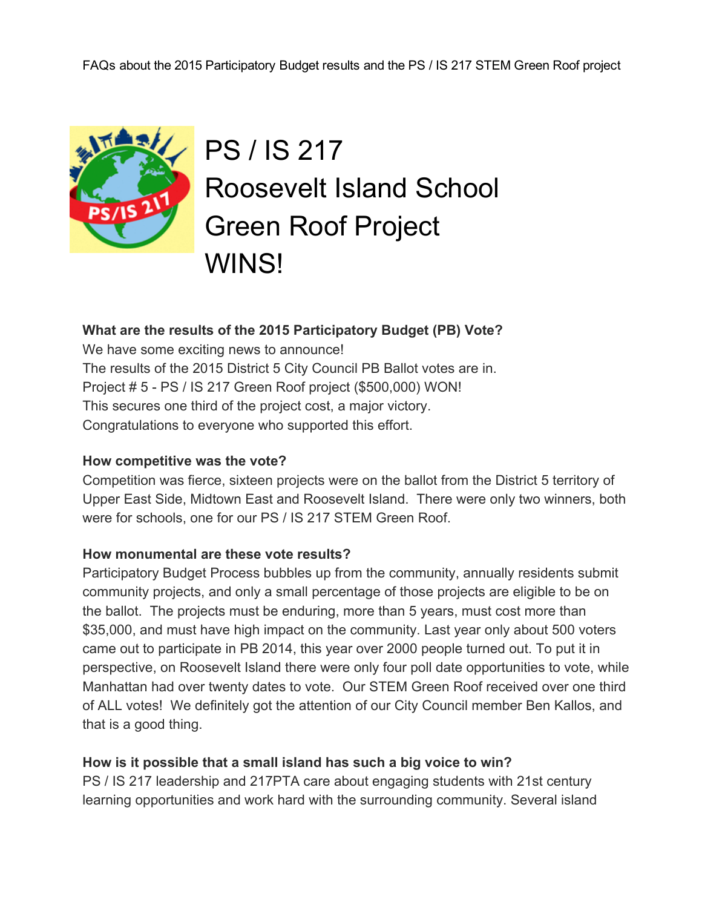

# PS / IS 217 Roosevelt Island School Green Roof Project WINS!

# What are the results of the 2015 Participatory Budget (PB) Vote?

We have some exciting news to announce! The results of the 2015 District 5 City Council PB Ballot votes are in. Project # 5 PS / IS 217 Green Roof project (\$500,000) WON! This secures one third of the project cost, a major victory. Congratulations to everyone who supported this effort.

## How competitive was the vote?

Competition was fierce, sixteen projects were on the ballot from the District 5 territory of Upper East Side, Midtown East and Roosevelt Island. There were only two winners, both were for schools, one for our PS / IS 217 STEM Green Roof.

## How monumental are these vote results?

Participatory Budget Process bubbles up from the community, annually residents submit community projects, and only a small percentage of those projects are eligible to be on the ballot. The projects must be enduring, more than 5 years, must cost more than \$35,000, and must have high impact on the community. Last year only about 500 voters came out to participate in PB 2014, this year over 2000 people turned out. To put it in perspective, on Roosevelt Island there were only four poll date opportunities to vote, while Manhattan had over twenty dates to vote. Our STEM Green Roof received over one third of ALL votes! We definitely got the attention of our City Council member Ben Kallos, and that is a good thing.

## How is it possible that a small island has such a big voice to win?

PS / IS 217 leadership and 217PTA care about engaging students with 21st century learning opportunities and work hard with the surrounding community. Several island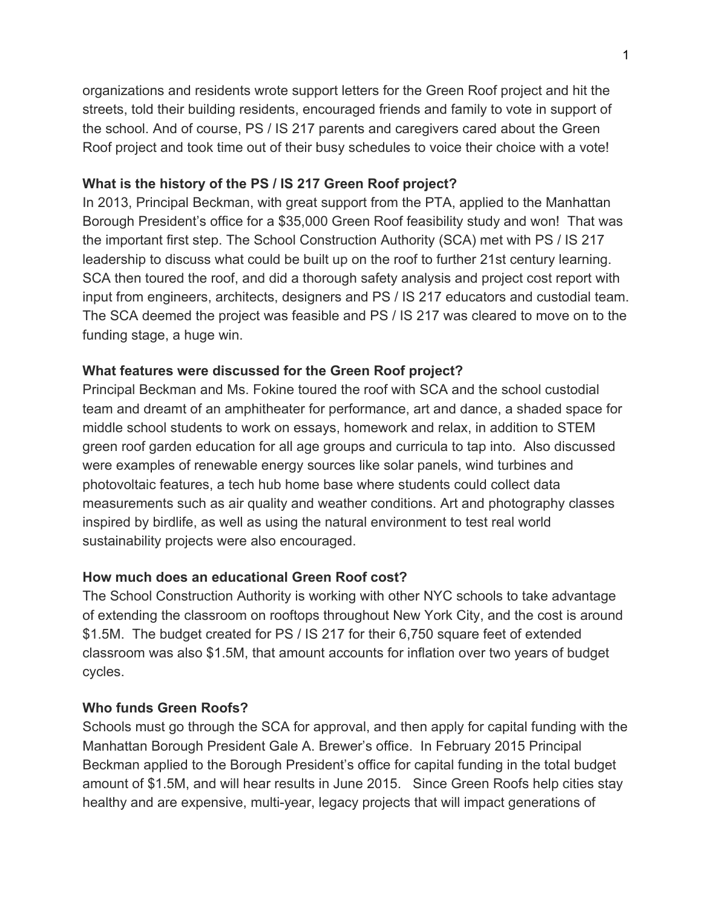organizations and residents wrote support letters for the Green Roof project and hit the streets, told their building residents, encouraged friends and family to vote in support of the school. And of course, PS / IS 217 parents and caregivers cared about the Green Roof project and took time out of their busy schedules to voice their choice with a vote!

#### What is the history of the PS / IS 217 Green Roof project?

In 2013, Principal Beckman, with great support from the PTA, applied to the Manhattan Borough President's office for a \$35,000 Green Roof feasibility study and won! That was the important first step. The School Construction Authority (SCA) met with PS / IS 217 leadership to discuss what could be built up on the roof to further 21st century learning. SCA then toured the roof, and did a thorough safety analysis and project cost report with input from engineers, architects, designers and PS / IS 217 educators and custodial team. The SCA deemed the project was feasible and PS / IS 217 was cleared to move on to the funding stage, a huge win.

## What features were discussed for the Green Roof project?

Principal Beckman and Ms. Fokine toured the roof with SCA and the school custodial team and dreamt of an amphitheater for performance, art and dance, a shaded space for middle school students to work on essays, homework and relax, in addition to STEM green roof garden education for all age groups and curricula to tap into. Also discussed were examples of renewable energy sources like solar panels, wind turbines and photovoltaic features, a tech hub home base where students could collect data measurements such as air quality and weather conditions. Art and photography classes inspired by birdlife, as well as using the natural environment to test real world sustainability projects were also encouraged.

#### How much does an educational Green Roof cost?

The School Construction Authority is working with other NYC schools to take advantage of extending the classroom on rooftops throughout New York City, and the cost is around \$1.5M. The budget created for PS / IS 217 for their 6,750 square feet of extended classroom was also \$1.5M, that amount accounts for inflation over two years of budget cycles.

#### Who funds Green Roofs?

Schools must go through the SCA for approval, and then apply for capital funding with the Manhattan Borough President Gale A. Brewer's office. In February 2015 Principal Beckman applied to the Borough President's office for capital funding in the total budget amount of \$1.5M, and will hear results in June 2015. Since Green Roofs help cities stay healthy and are expensive, multi-year, legacy projects that will impact generations of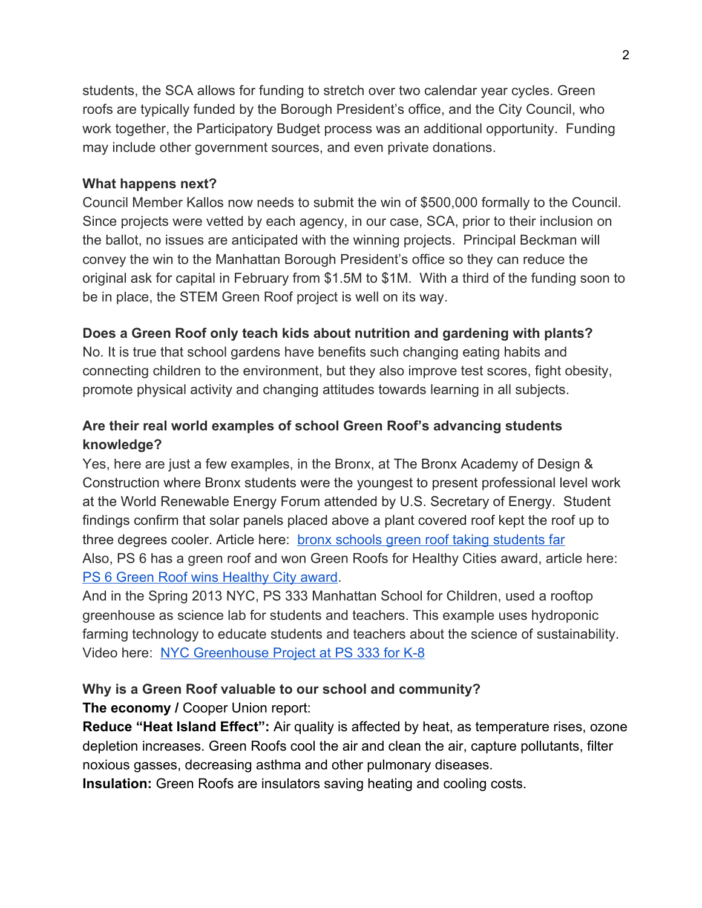students, the SCA allows for funding to stretch over two calendar year cycles. Green roofs are typically funded by the Borough President's office, and the City Council, who work together, the Participatory Budget process was an additional opportunity. Funding may include other government sources, and even private donations.

#### What happens next?

Council Member Kallos now needs to submit the win of \$500,000 formally to the Council. Since projects were vetted by each agency, in our case, SCA, prior to their inclusion on the ballot, no issues are anticipated with the winning projects. Principal Beckman will convey the win to the Manhattan Borough President's office so they can reduce the original ask for capital in February from \$1.5M to \$1M. With a third of the funding soon to be in place, the STEM Green Roof project is well on its way.

## Does a Green Roof only teach kids about nutrition and gardening with plants?

No. It is true that school gardens have benefits such changing eating habits and connecting children to the environment, but they also improve test scores, fight obesity, promote physical activity and changing attitudes towards learning in all subjects.

# Are their real world examples of school Green Roof's advancing students knowledge?

Yes, here are just a few examples, in the Bronx, at The Bronx Academy of Design & Construction where Bronx students were the youngest to present professional level work at the World Renewable Energy Forum attended by U.S. Secretary of Energy. Student findings confirm that solar panels placed above a plant covered roof kept the roof up to three degrees cooler. Article here: [b](http://ny.chalkbeat.org/2012/05/25/experiments-on-bronx-schools-green-roof-taking-students-far/#.VS2uL2YwJ4u)ronx schools green roof taking [students](http://ny.chalkbeat.org/2012/05/25/experiments-on-bronx-schools-green-roof-taking-students-far/#.VS2uL2YwJ4u) far Also, PS 6 has a green roof and won Green Roofs for Healthy Cities award, article here: PS 6 Green Roof wins [Healthy](http://www.markkmorrison.com/blog/2015/2/4/ps-6-wins-green-roofs-for-healthy-cities-2014-award) City award.

And in the Spring 2013 NYC, PS 333 Manhattan School for Children, used a rooftop greenhouse as science lab for students and teachers. This example uses hydroponic farming technology to educate students and teachers about the science of sustainability. Video here: NYC [Greenhouse](https://www.youtube.com/watch?v=-Ljnz3fYuVE) Project at PS 333 for K-[8](https://www.youtube.com/watch?v=-Ljnz3fYuVE)

# Why is a Green Roof valuable to our school and community?

The economy / Cooper Union report:

Reduce "Heat Island Effect": Air quality is affected by heat, as temperature rises, ozone depletion increases. Green Roofs cool the air and clean the air, capture pollutants, filter noxious gasses, decreasing asthma and other pulmonary diseases.

Insulation: Green Roofs are insulators saving heating and cooling costs.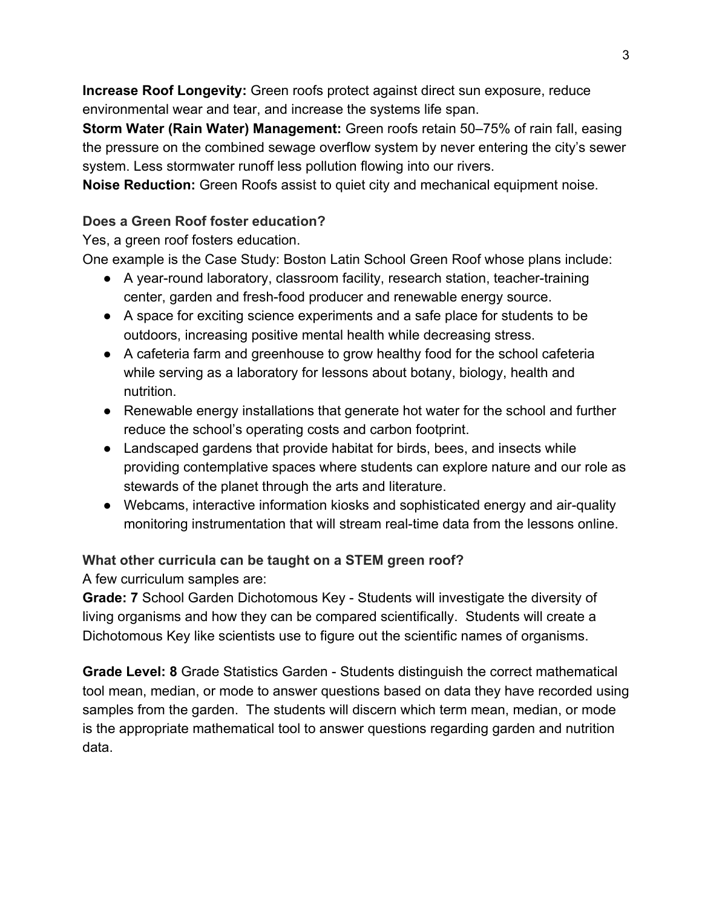Increase Roof Longevity: Green roofs protect against direct sun exposure, reduce environmental wear and tear, and increase the systems life span.

Storm Water (Rain Water) Management: Green roofs retain 50–75% of rain fall, easing the pressure on the combined sewage overflow system by never entering the city's sewer system. Less stormwater runoff less pollution flowing into our rivers.

Noise Reduction: Green Roofs assist to quiet city and mechanical equipment noise.

# Does a Green Roof foster education?

Yes, a green roof fosters education.

One example is the Case Study: Boston Latin School Green Roof whose plans include:

- A year-round laboratory, classroom facility, research station, teacher-training center, garden and fresh-food producer and renewable energy source.
- A space for exciting science experiments and a safe place for students to be outdoors, increasing positive mental health while decreasing stress.
- A cafeteria farm and greenhouse to grow healthy food for the school cafeteria while serving as a laboratory for lessons about botany, biology, health and nutrition.
- Renewable energy installations that generate hot water for the school and further reduce the school's operating costs and carbon footprint.
- Landscaped gardens that provide habitat for birds, bees, and insects while providing contemplative spaces where students can explore nature and our role as stewards of the planet through the arts and literature.
- Webcams, interactive information kiosks and sophisticated energy and air-quality monitoring instrumentation that will stream real-time data from the lessons online.

# What other curricula can be taught on a STEM green roof?

A few curriculum samples are:

Grade: 7 School Garden Dichotomous Key - Students will investigate the diversity of living organisms and how they can be compared scientifically. Students will create a Dichotomous Key like scientists use to figure out the scientific names of organisms.

Grade Level: 8 Grade Statistics Garden - Students distinguish the correct mathematical tool mean, median, or mode to answer questions based on data they have recorded using samples from the garden. The students will discern which term mean, median, or mode is the appropriate mathematical tool to answer questions regarding garden and nutrition data.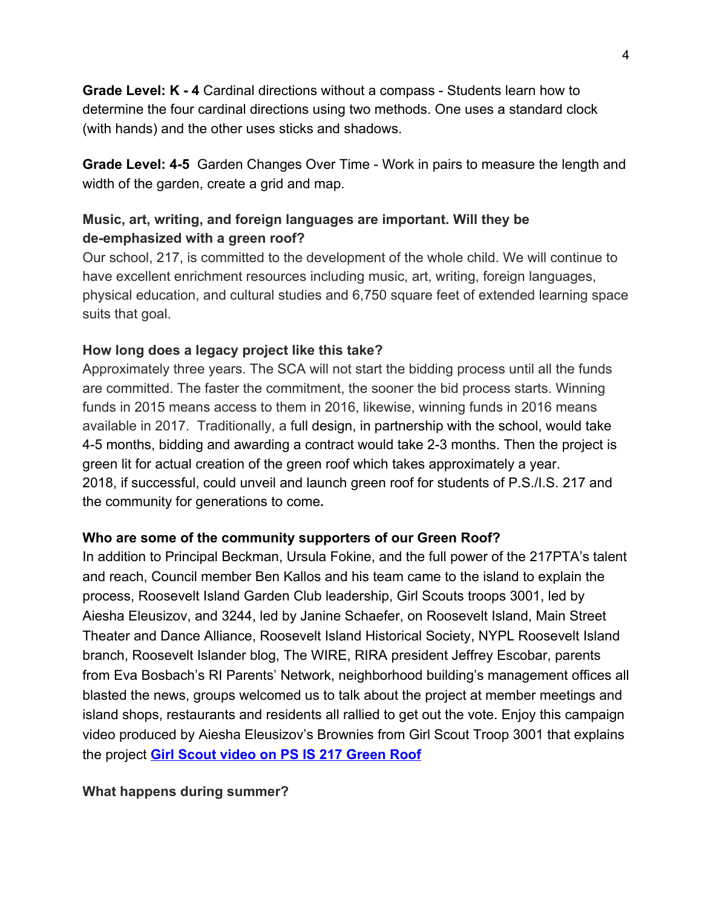Grade Level: K - 4 Cardinal directions without a compass - Students learn how to determine the four cardinal directions using two methods. One uses a standard clock (with hands) and the other uses sticks and shadows.

**Grade Level: 4-5** Garden Changes Over Time - Work in pairs to measure the length and width of the garden, create a grid and map.

# Music, art, writing, and foreign languages are important. Will they be de-emphasized with a green roof?

Our school, 217, is committed to the development of the whole child. We will continue to have excellent enrichment resources including music, art, writing, foreign languages, physical education, and cultural studies and 6,750 square feet of extended learning space suits that goal.

# How long does a legacy project like this take?

Approximately three years. The SCA will not start the bidding process until all the funds are committed. The faster the commitment, the sooner the bid process starts. Winning funds in 2015 means access to them in 2016, likewise, winning funds in 2016 means available in 2017. Traditionally, a full design, in partnership with the school, would take 45 months, bidding and awarding a contract would take 23 months. Then the project is green lit for actual creation of the green roof which takes approximately a year. 2018, if successful, could unveil and launch green roof for students of P.S./I.S. 217 and the community for generations to come.

# Who are some of the community supporters of our Green Roof?

In addition to Principal Beckman, Ursula Fokine, and the full power of the 217PTA's talent and reach, Council member Ben Kallos and his team came to the island to explain the process, Roosevelt Island Garden Club leadership, Girl Scouts troops 3001, led by Aiesha Eleusizov, and 3244, led by Janine Schaefer, on Roosevelt Island, Main Street Theater and Dance Alliance, Roosevelt Island Historical Society, NYPL Roosevelt Island branch, Roosevelt Islander blog, The WIRE, RIRA president Jeffrey Escobar, parents from Eva Bosbach's RI Parents' Network, neighborhood building's management offices all blasted the news, groups welcomed us to talk about the project at member meetings and island shops, restaurants and residents all rallied to get out the vote. Enjoy this campaign video produced by Aiesha Eleusizov's Brownies from Girl Scout Troop 3001 that explains the project **[G](https://www.youtube.com/watch?v=0qlQAxOut38&google_comment_id=z13huf5x3z2auxvk323awbnjmry5hlird04&google_view_type)irl Scout video on PS IS 217 [Green](https://www.youtube.com/watch?v=0qlQAxOut38&google_comment_id=z13huf5x3z2auxvk323awbnjmry5hlird04&google_view_type) Roo[f](https://www.youtube.com/watch?v=0qlQAxOut38&google_comment_id=z13huf5x3z2auxvk323awbnjmry5hlird04&google_view_type)** 

## What happens during summer?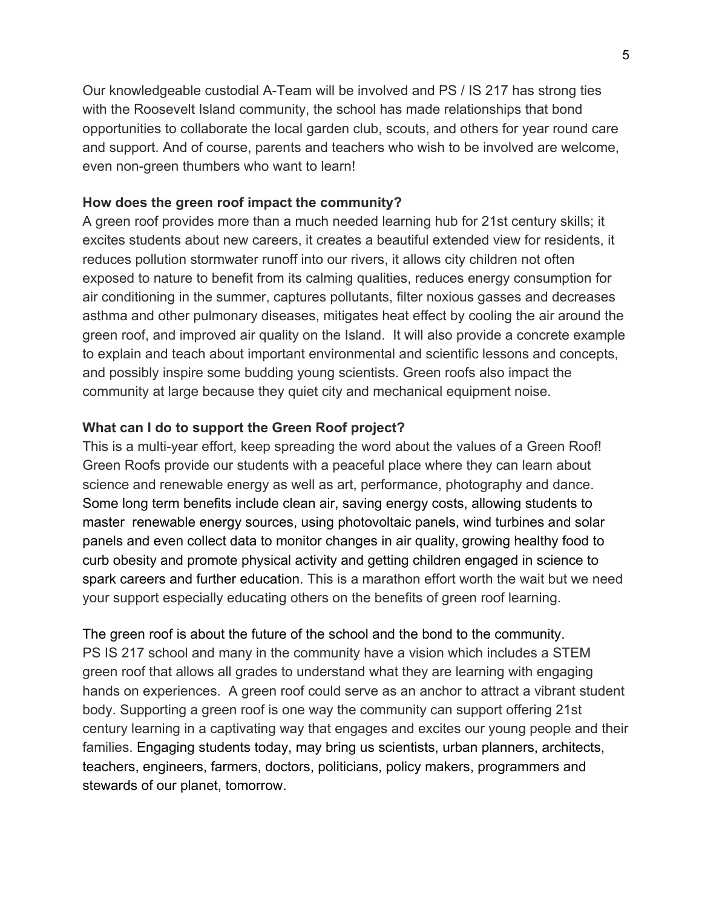Our knowledgeable custodial A-Team will be involved and PS / IS 217 has strong ties with the Roosevelt Island community, the school has made relationships that bond opportunities to collaborate the local garden club, scouts, and others for year round care and support. And of course, parents and teachers who wish to be involved are welcome, even non-green thumbers who want to learn!

#### How does the green roof impact the community?

A green roof provides more than a much needed learning hub for 21st century skills; it excites students about new careers, it creates a beautiful extended view for residents, it reduces pollution stormwater runoff into our rivers, it allows city children not often exposed to nature to benefit from its calming qualities, reduces energy consumption for air conditioning in the summer, captures pollutants, filter noxious gasses and decreases asthma and other pulmonary diseases, mitigates heat effect by cooling the air around the green roof, and improved air quality on the Island. It will also provide a concrete example to explain and teach about important environmental and scientific lessons and concepts, and possibly inspire some budding young scientists. Green roofs also impact the community at large because they quiet city and mechanical equipment noise.

## What can I do to support the Green Roof project?

This is a multi-year effort, keep spreading the word about the values of a Green Roof! Green Roofs provide our students with a peaceful place where they can learn about science and renewable energy as well as art, performance, photography and dance. Some long term benefits include clean air, saving energy costs, allowing students to master renewable energy sources, using photovoltaic panels, wind turbines and solar panels and even collect data to monitor changes in air quality, growing healthy food to curb obesity and promote physical activity and getting children engaged in science to spark careers and further education. This is a marathon effort worth the wait but we need your support especially educating others on the benefits of green roof learning.

The green roof is about the future of the school and the bond to the community. PS IS 217 school and many in the community have a vision which includes a STEM green roof that allows all grades to understand what they are learning with engaging hands on experiences. A green roof could serve as an anchor to attract a vibrant student body. Supporting a green roof is one way the community can support offering 21st century learning in a captivating way that engages and excites our young people and their families. Engaging students today, may bring us scientists, urban planners, architects, teachers, engineers, farmers, doctors, politicians, policy makers, programmers and stewards of our planet, tomorrow.